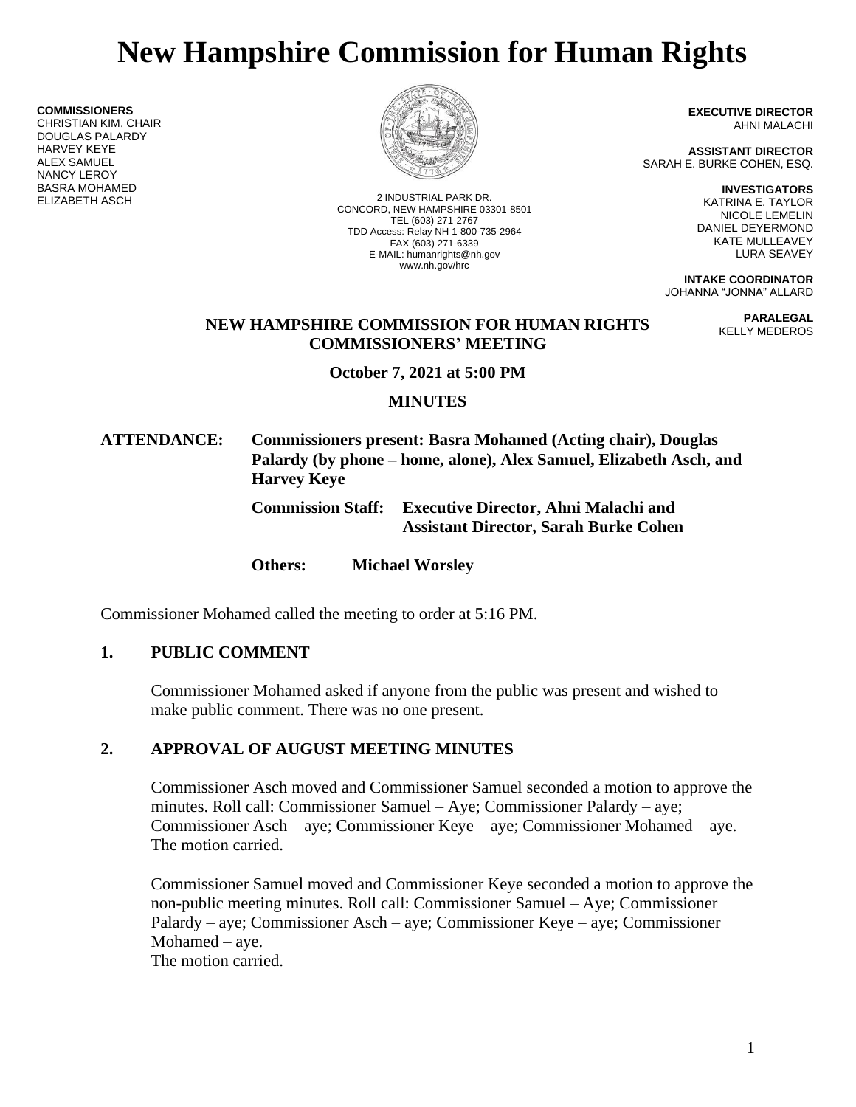# **New Hampshire Commission for Human Rights**

**COMMISSIONERS**

CHRISTIAN KIM, CHAIR DOUGLAS PALARDY HARVEY KEYE ALEX SAMUEL NANCY LEROY BASRA MOHAMED



ELIZABETH ASCH 2 INDUSTRIAL PARK DR. CONCORD, NEW HAMPSHIRE 03301-8501 TEL (603) 271-2767 TDD Access: Relay NH 1-800-735-2964 FAX (603) 271-6339 E-MAIL: humanrights@nh.gov www.nh.gov/hrc

**EXECUTIVE DIRECTOR** AHNI MALACHI

**ASSISTANT DIRECTOR** SARAH E. BURKE COHEN, ESQ.

> **INVESTIGATORS** KATRINA E. TAYLOR NICOLE LEMELIN DANIEL DEYERMOND KATE MULLEAVEY LURA SEAVEY

**INTAKE COORDINATOR** JOHANNA "JONNA" ALLARD

> **PARALEGAL** KELLY MEDEROS

## **NEW HAMPSHIRE COMMISSION FOR HUMAN RIGHTS COMMISSIONERS' MEETING**

**October 7, 2021 at 5:00 PM**

## **MINUTES**

**ATTENDANCE: Commissioners present: Basra Mohamed (Acting chair), Douglas Palardy (by phone – home, alone), Alex Samuel, Elizabeth Asch, and Harvey Keye**

> **Commission Staff: Executive Director, Ahni Malachi and Assistant Director, Sarah Burke Cohen**

**Others: Michael Worsley**

Commissioner Mohamed called the meeting to order at 5:16 PM.

# **1. PUBLIC COMMENT**

Commissioner Mohamed asked if anyone from the public was present and wished to make public comment. There was no one present.

# **2. APPROVAL OF AUGUST MEETING MINUTES**

Commissioner Asch moved and Commissioner Samuel seconded a motion to approve the minutes. Roll call: Commissioner Samuel – Aye; Commissioner Palardy – aye; Commissioner Asch – aye; Commissioner Keye – aye; Commissioner Mohamed – aye. The motion carried.

Commissioner Samuel moved and Commissioner Keye seconded a motion to approve the non-public meeting minutes. Roll call: Commissioner Samuel – Aye; Commissioner Palardy – aye; Commissioner Asch – aye; Commissioner Keye – aye; Commissioner Mohamed – aye. The motion carried.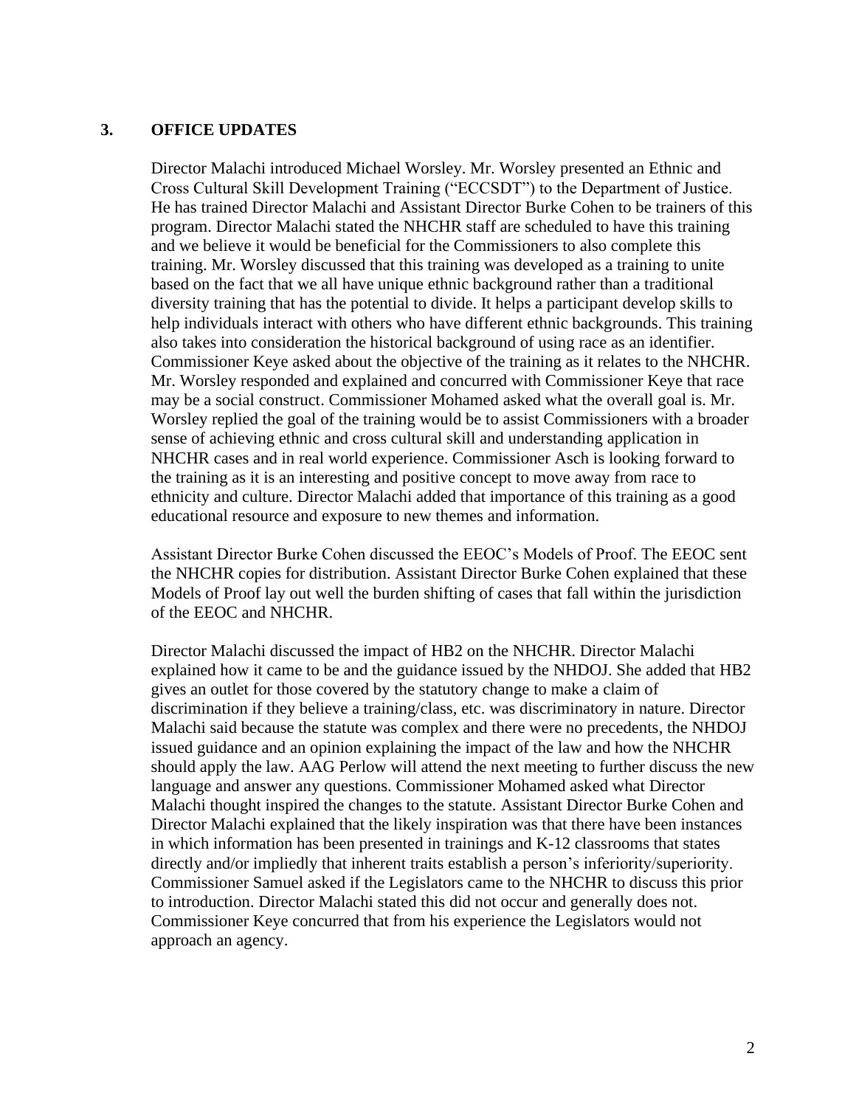#### **3. OFFICE UPDATES**

Director Malachi introduced Michael Worsley. Mr. Worsley presented an Ethnic and Cross Cultural Skill Development Training ("ECCSDT") to the Department of Justice. He has trained Director Malachi and Assistant Director Burke Cohen to be trainers of this program. Director Malachi stated the NHCHR staff are scheduled to have this training and we believe it would be beneficial for the Commissioners to also complete this training. Mr. Worsley discussed that this training was developed as a training to unite based on the fact that we all have unique ethnic background rather than a traditional diversity training that has the potential to divide. It helps a participant develop skills to help individuals interact with others who have different ethnic backgrounds. This training also takes into consideration the historical background of using race as an identifier. Commissioner Keye asked about the objective of the training as it relates to the NHCHR. Mr. Worsley responded and explained and concurred with Commissioner Keye that race may be a social construct. Commissioner Mohamed asked what the overall goal is. Mr. Worsley replied the goal of the training would be to assist Commissioners with a broader sense of achieving ethnic and cross cultural skill and understanding application in NHCHR cases and in real world experience. Commissioner Asch is looking forward to the training as it is an interesting and positive concept to move away from race to ethnicity and culture. Director Malachi added that importance of this training as a good educational resource and exposure to new themes and information.

Assistant Director Burke Cohen discussed the EEOC's Models of Proof. The EEOC sent the NHCHR copies for distribution. Assistant Director Burke Cohen explained that these Models of Proof lay out well the burden shifting of cases that fall within the jurisdiction of the EEOC and NHCHR.

Director Malachi discussed the impact of HB2 on the NHCHR. Director Malachi explained how it came to be and the guidance issued by the NHDOJ. She added that HB2 gives an outlet for those covered by the statutory change to make a claim of discrimination if they believe a training/class, etc. was discriminatory in nature. Director Malachi said because the statute was complex and there were no precedents, the NHDOJ issued guidance and an opinion explaining the impact of the law and how the NHCHR should apply the law. AAG Perlow will attend the next meeting to further discuss the new language and answer any questions. Commissioner Mohamed asked what Director Malachi thought inspired the changes to the statute. Assistant Director Burke Cohen and Director Malachi explained that the likely inspiration was that there have been instances in which information has been presented in trainings and K-12 classrooms that states directly and/or impliedly that inherent traits establish a person's inferiority/superiority. Commissioner Samuel asked if the Legislators came to the NHCHR to discuss this prior to introduction. Director Malachi stated this did not occur and generally does not. Commissioner Keye concurred that from his experience the Legislators would not approach an agency.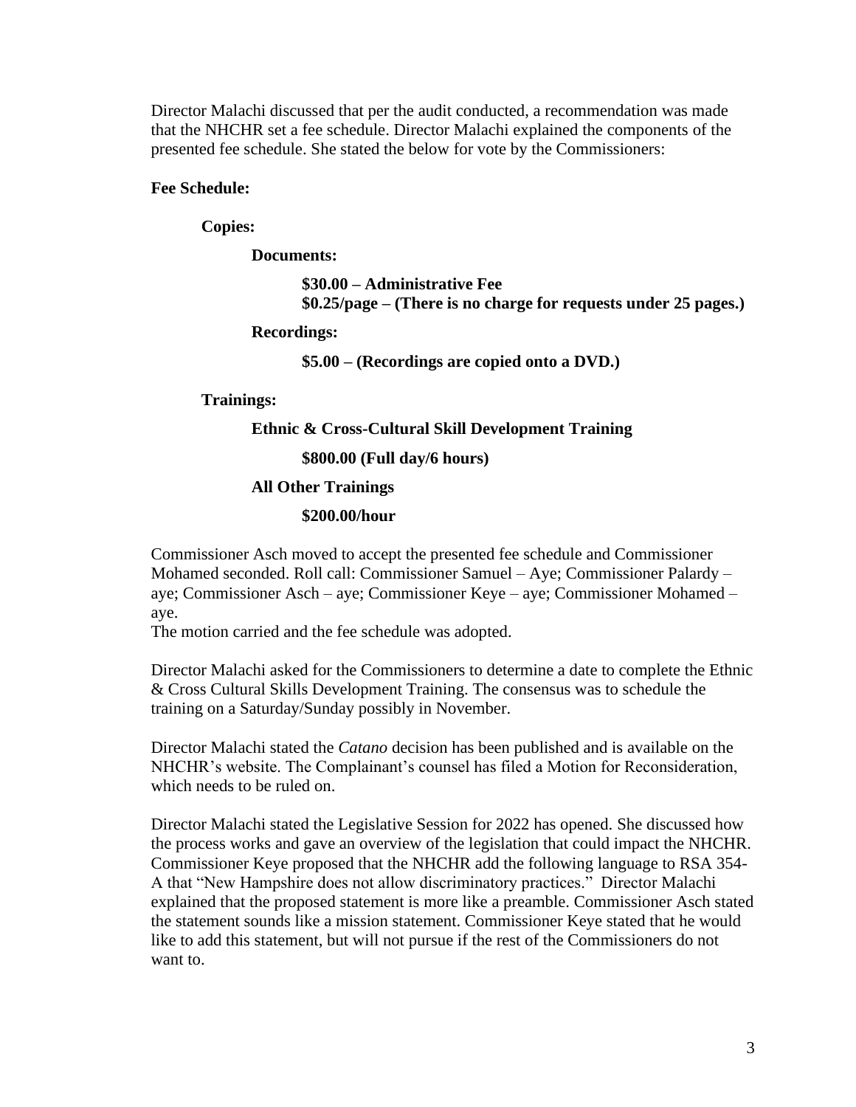Director Malachi discussed that per the audit conducted, a recommendation was made that the NHCHR set a fee schedule. Director Malachi explained the components of the presented fee schedule. She stated the below for vote by the Commissioners:

## **Fee Schedule:**

## **Copies:**

**Documents:**

**\$30.00 – Administrative Fee \$0.25/page – (There is no charge for requests under 25 pages.)**

#### **Recordings:**

**\$5.00 – (Recordings are copied onto a DVD.)**

#### **Trainings:**

#### **Ethnic & Cross-Cultural Skill Development Training**

**\$800.00 (Full day/6 hours)**

#### **All Other Trainings**

#### **\$200.00/hour**

Commissioner Asch moved to accept the presented fee schedule and Commissioner Mohamed seconded. Roll call: Commissioner Samuel – Aye; Commissioner Palardy – aye; Commissioner Asch – aye; Commissioner Keye – aye; Commissioner Mohamed – aye.

The motion carried and the fee schedule was adopted.

Director Malachi asked for the Commissioners to determine a date to complete the Ethnic & Cross Cultural Skills Development Training. The consensus was to schedule the training on a Saturday/Sunday possibly in November.

Director Malachi stated the *Catano* decision has been published and is available on the NHCHR's website. The Complainant's counsel has filed a Motion for Reconsideration, which needs to be ruled on.

Director Malachi stated the Legislative Session for 2022 has opened. She discussed how the process works and gave an overview of the legislation that could impact the NHCHR. Commissioner Keye proposed that the NHCHR add the following language to RSA 354- A that "New Hampshire does not allow discriminatory practices." Director Malachi explained that the proposed statement is more like a preamble. Commissioner Asch stated the statement sounds like a mission statement. Commissioner Keye stated that he would like to add this statement, but will not pursue if the rest of the Commissioners do not want to.